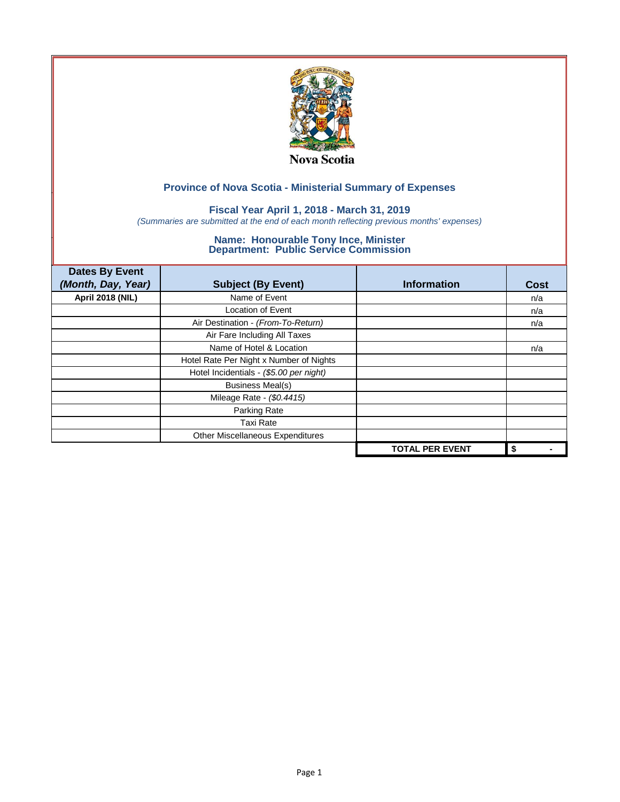

### **Fiscal Year April 1, 2018 - March 31, 2019**

*(Summaries are submitted at the end of each month reflecting previous months' expenses)*

| <b>Dates By Event</b>   |                                         |                        |      |
|-------------------------|-----------------------------------------|------------------------|------|
| (Month, Day, Year)      | <b>Subject (By Event)</b>               | <b>Information</b>     | Cost |
| <b>April 2018 (NIL)</b> | Name of Event                           |                        | n/a  |
|                         | Location of Event                       |                        | n/a  |
|                         | Air Destination - (From-To-Return)      |                        | n/a  |
|                         | Air Fare Including All Taxes            |                        |      |
|                         | Name of Hotel & Location                |                        | n/a  |
|                         | Hotel Rate Per Night x Number of Nights |                        |      |
|                         | Hotel Incidentials - (\$5.00 per night) |                        |      |
|                         | <b>Business Meal(s)</b>                 |                        |      |
|                         | Mileage Rate - (\$0.4415)               |                        |      |
|                         | Parking Rate                            |                        |      |
|                         | Taxi Rate                               |                        |      |
|                         | Other Miscellaneous Expenditures        |                        |      |
|                         |                                         | <b>TOTAL PER EVENT</b> | \$   |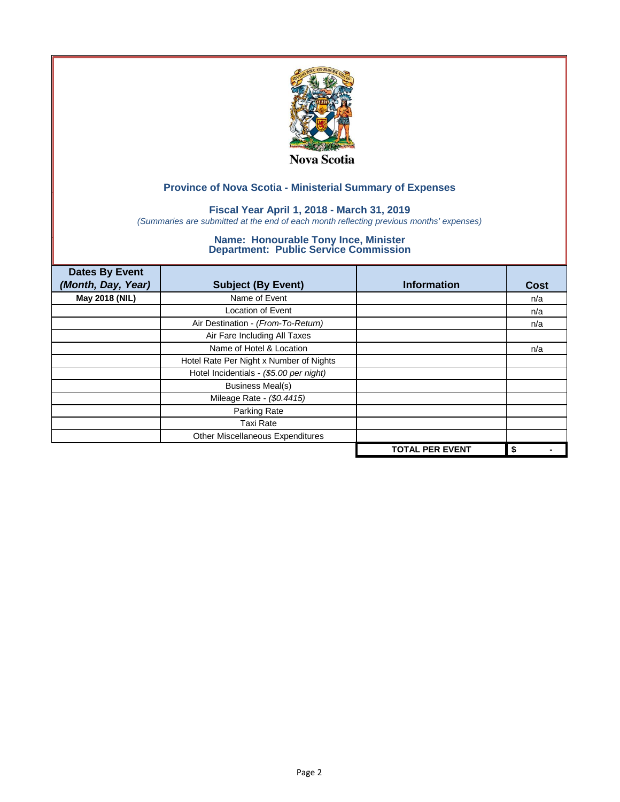

### **Fiscal Year April 1, 2018 - March 31, 2019**

*(Summaries are submitted at the end of each month reflecting previous months' expenses)*

| <b>Dates By Event</b> |                                         |                        |      |
|-----------------------|-----------------------------------------|------------------------|------|
| (Month, Day, Year)    | <b>Subject (By Event)</b>               | <b>Information</b>     | Cost |
| May 2018 (NIL)        | Name of Event                           |                        | n/a  |
|                       | Location of Event                       |                        | n/a  |
|                       | Air Destination - (From-To-Return)      |                        | n/a  |
|                       | Air Fare Including All Taxes            |                        |      |
|                       | Name of Hotel & Location                |                        | n/a  |
|                       | Hotel Rate Per Night x Number of Nights |                        |      |
|                       | Hotel Incidentials - (\$5.00 per night) |                        |      |
|                       | Business Meal(s)                        |                        |      |
|                       | Mileage Rate - (\$0.4415)               |                        |      |
|                       | Parking Rate                            |                        |      |
|                       | <b>Taxi Rate</b>                        |                        |      |
|                       | Other Miscellaneous Expenditures        |                        |      |
|                       |                                         | <b>TOTAL PER EVENT</b> | \$   |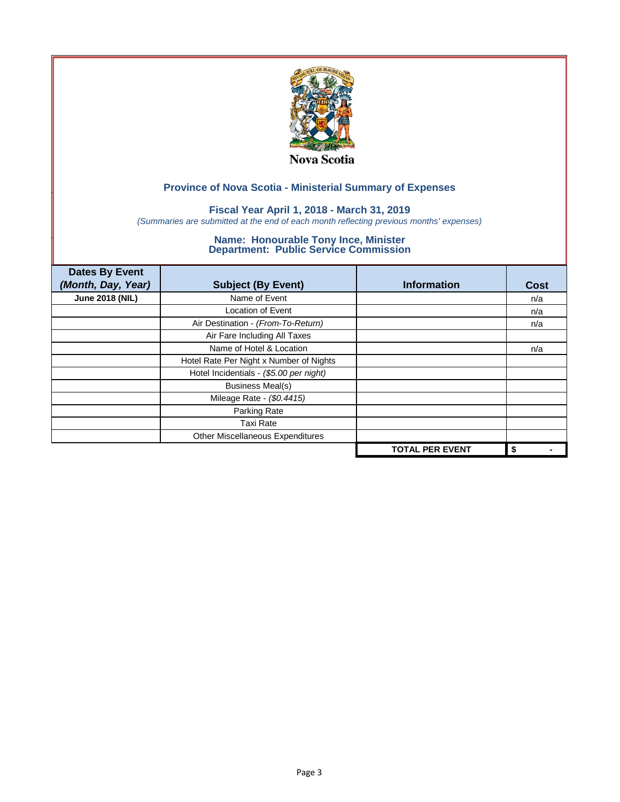

### **Fiscal Year April 1, 2018 - March 31, 2019**

*(Summaries are submitted at the end of each month reflecting previous months' expenses)*

| <b>Dates By Event</b>  |                                         |                        |             |
|------------------------|-----------------------------------------|------------------------|-------------|
| (Month, Day, Year)     | <b>Subject (By Event)</b>               | <b>Information</b>     | <b>Cost</b> |
| <b>June 2018 (NIL)</b> | Name of Event                           |                        | n/a         |
|                        | <b>Location of Event</b>                |                        | n/a         |
|                        | Air Destination - (From-To-Return)      |                        | n/a         |
|                        | Air Fare Including All Taxes            |                        |             |
|                        | Name of Hotel & Location                |                        | n/a         |
|                        | Hotel Rate Per Night x Number of Nights |                        |             |
|                        | Hotel Incidentials - (\$5.00 per night) |                        |             |
|                        | <b>Business Meal(s)</b>                 |                        |             |
|                        | Mileage Rate - (\$0.4415)               |                        |             |
|                        | Parking Rate                            |                        |             |
|                        | <b>Taxi Rate</b>                        |                        |             |
|                        | Other Miscellaneous Expenditures        |                        |             |
|                        |                                         | <b>TOTAL PER EVENT</b> | \$          |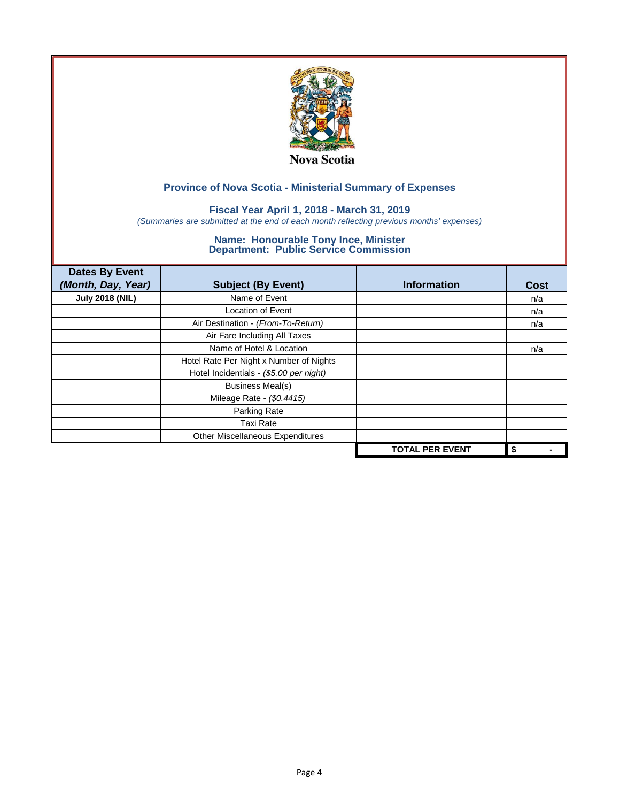

### **Fiscal Year April 1, 2018 - March 31, 2019**

*(Summaries are submitted at the end of each month reflecting previous months' expenses)*

| <b>Dates By Event</b>  |                                         |                        |             |
|------------------------|-----------------------------------------|------------------------|-------------|
| (Month, Day, Year)     | <b>Subject (By Event)</b>               | <b>Information</b>     | <b>Cost</b> |
| <b>July 2018 (NIL)</b> | Name of Event                           |                        | n/a         |
|                        | <b>Location of Event</b>                |                        | n/a         |
|                        | Air Destination - (From-To-Return)      |                        | n/a         |
|                        | Air Fare Including All Taxes            |                        |             |
|                        | Name of Hotel & Location                |                        | n/a         |
|                        | Hotel Rate Per Night x Number of Nights |                        |             |
|                        | Hotel Incidentials - (\$5.00 per night) |                        |             |
|                        | <b>Business Meal(s)</b>                 |                        |             |
|                        | Mileage Rate - (\$0.4415)               |                        |             |
|                        | Parking Rate                            |                        |             |
|                        | <b>Taxi Rate</b>                        |                        |             |
|                        | Other Miscellaneous Expenditures        |                        |             |
|                        |                                         | <b>TOTAL PER EVENT</b> | \$          |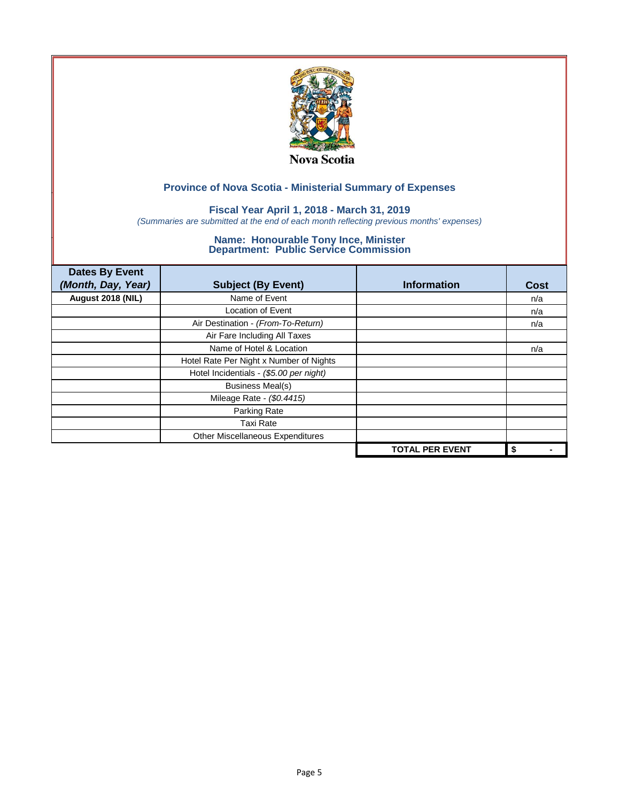

### **Fiscal Year April 1, 2018 - March 31, 2019**

*(Summaries are submitted at the end of each month reflecting previous months' expenses)*

| <b>Dates By Event</b> |                                         |                        |             |
|-----------------------|-----------------------------------------|------------------------|-------------|
| (Month, Day, Year)    | <b>Subject (By Event)</b>               | <b>Information</b>     | <b>Cost</b> |
| August 2018 (NIL)     | Name of Event                           |                        | n/a         |
|                       | <b>Location of Event</b>                |                        | n/a         |
|                       | Air Destination - (From-To-Return)      |                        | n/a         |
|                       | Air Fare Including All Taxes            |                        |             |
|                       | Name of Hotel & Location                |                        | n/a         |
|                       | Hotel Rate Per Night x Number of Nights |                        |             |
|                       | Hotel Incidentials - (\$5.00 per night) |                        |             |
|                       | <b>Business Meal(s)</b>                 |                        |             |
|                       | Mileage Rate - (\$0.4415)               |                        |             |
|                       | Parking Rate                            |                        |             |
|                       | <b>Taxi Rate</b>                        |                        |             |
|                       | Other Miscellaneous Expenditures        |                        |             |
|                       |                                         | <b>TOTAL PER EVENT</b> | \$          |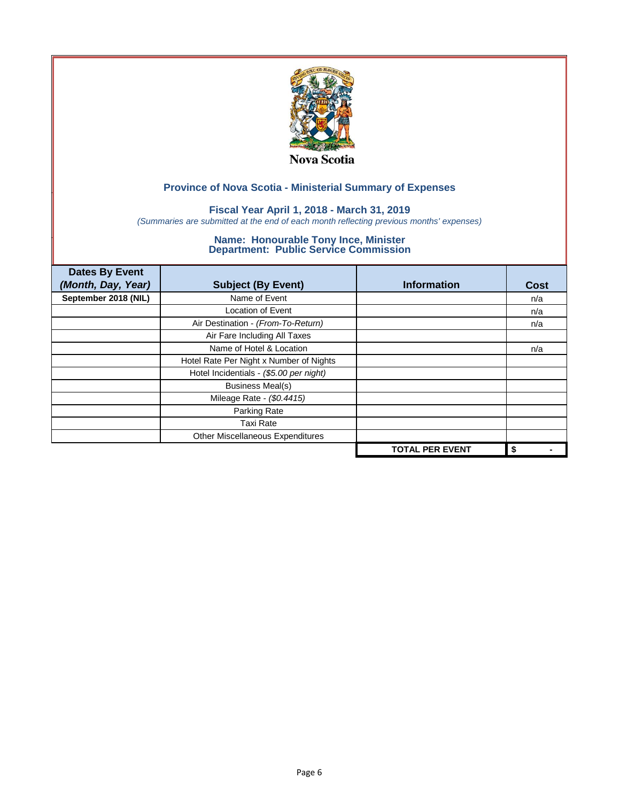

### **Fiscal Year April 1, 2018 - March 31, 2019**

*(Summaries are submitted at the end of each month reflecting previous months' expenses)*

| <b>Dates By Event</b> |                                         |                        |             |
|-----------------------|-----------------------------------------|------------------------|-------------|
| (Month, Day, Year)    | <b>Subject (By Event)</b>               | <b>Information</b>     | <b>Cost</b> |
| September 2018 (NIL)  | Name of Event                           |                        | n/a         |
|                       | <b>Location of Event</b>                |                        | n/a         |
|                       | Air Destination - (From-To-Return)      |                        | n/a         |
|                       | Air Fare Including All Taxes            |                        |             |
|                       | Name of Hotel & Location                |                        | n/a         |
|                       | Hotel Rate Per Night x Number of Nights |                        |             |
|                       | Hotel Incidentials - (\$5.00 per night) |                        |             |
|                       | <b>Business Meal(s)</b>                 |                        |             |
|                       | Mileage Rate - (\$0.4415)               |                        |             |
|                       | Parking Rate                            |                        |             |
|                       | <b>Taxi Rate</b>                        |                        |             |
|                       | Other Miscellaneous Expenditures        |                        |             |
|                       |                                         | <b>TOTAL PER EVENT</b> | \$          |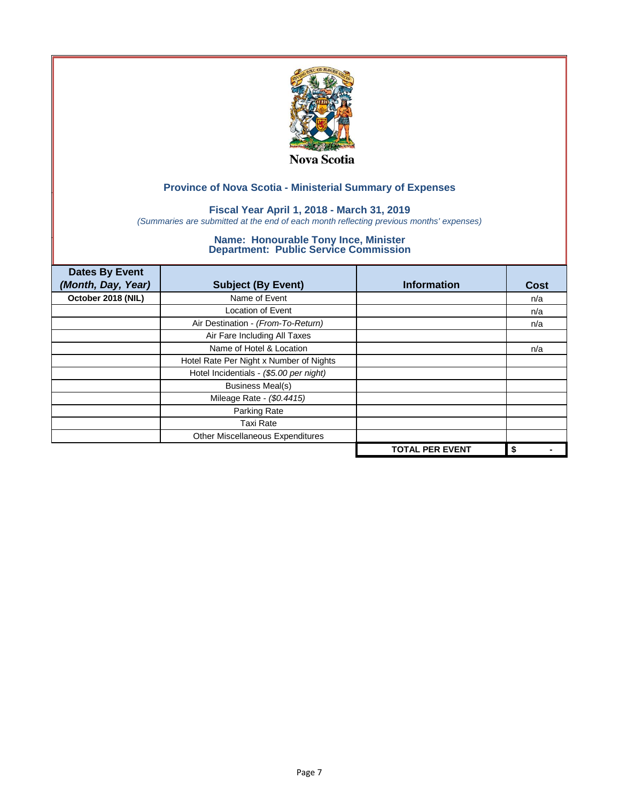

### **Fiscal Year April 1, 2018 - March 31, 2019**

*(Summaries are submitted at the end of each month reflecting previous months' expenses)*

| <b>Dates By Event</b> |                                         |                        |             |
|-----------------------|-----------------------------------------|------------------------|-------------|
| (Month, Day, Year)    | <b>Subject (By Event)</b>               | <b>Information</b>     | <b>Cost</b> |
| October 2018 (NIL)    | Name of Event                           |                        | n/a         |
|                       | <b>Location of Event</b>                |                        | n/a         |
|                       | Air Destination - (From-To-Return)      |                        | n/a         |
|                       | Air Fare Including All Taxes            |                        |             |
|                       | Name of Hotel & Location                |                        | n/a         |
|                       | Hotel Rate Per Night x Number of Nights |                        |             |
|                       | Hotel Incidentials - (\$5.00 per night) |                        |             |
|                       | <b>Business Meal(s)</b>                 |                        |             |
|                       | Mileage Rate - (\$0.4415)               |                        |             |
|                       | Parking Rate                            |                        |             |
|                       | <b>Taxi Rate</b>                        |                        |             |
|                       | Other Miscellaneous Expenditures        |                        |             |
|                       |                                         | <b>TOTAL PER EVENT</b> | \$          |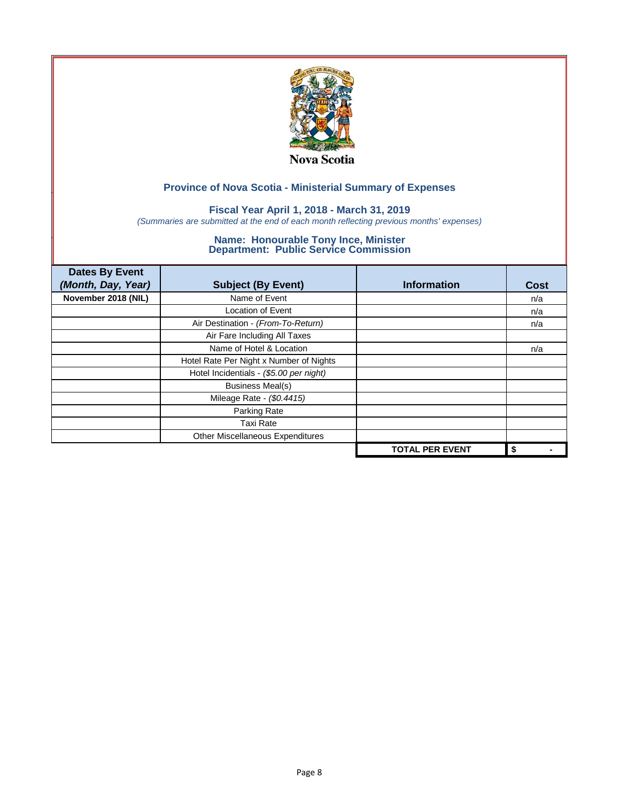

### **Fiscal Year April 1, 2018 - March 31, 2019**

*(Summaries are submitted at the end of each month reflecting previous months' expenses)*

| <b>Dates By Event</b> |                                         |                        |             |
|-----------------------|-----------------------------------------|------------------------|-------------|
| (Month, Day, Year)    | <b>Subject (By Event)</b>               | <b>Information</b>     | <b>Cost</b> |
| November 2018 (NIL)   | Name of Event                           |                        | n/a         |
|                       | <b>Location of Event</b>                |                        | n/a         |
|                       | Air Destination - (From-To-Return)      |                        | n/a         |
|                       | Air Fare Including All Taxes            |                        |             |
|                       | Name of Hotel & Location                |                        | n/a         |
|                       | Hotel Rate Per Night x Number of Nights |                        |             |
|                       | Hotel Incidentials - (\$5.00 per night) |                        |             |
|                       | <b>Business Meal(s)</b>                 |                        |             |
|                       | Mileage Rate - (\$0.4415)               |                        |             |
|                       | Parking Rate                            |                        |             |
|                       | <b>Taxi Rate</b>                        |                        |             |
|                       | Other Miscellaneous Expenditures        |                        |             |
|                       |                                         | <b>TOTAL PER EVENT</b> | \$          |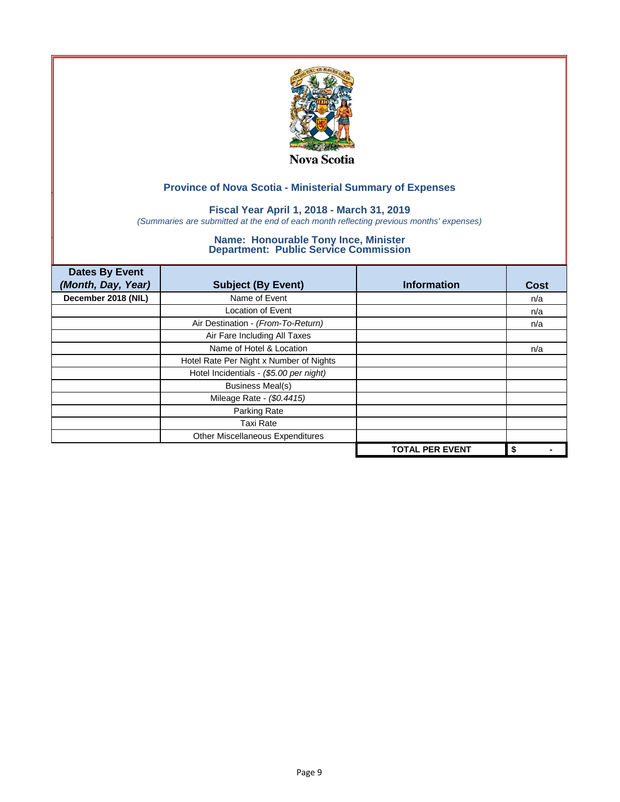

### **Fiscal Year April 1, 2018 - March 31, 2019**

*(Summaries are submitted at the end of each month reflecting previous months' expenses)*

| <b>Dates By Event</b> |                                         |                        |             |
|-----------------------|-----------------------------------------|------------------------|-------------|
| (Month, Day, Year)    | <b>Subject (By Event)</b>               | <b>Information</b>     | <b>Cost</b> |
| December 2018 (NIL)   | Name of Event                           |                        | n/a         |
|                       | <b>Location of Event</b>                |                        | n/a         |
|                       | Air Destination - (From-To-Return)      |                        | n/a         |
|                       | Air Fare Including All Taxes            |                        |             |
|                       | Name of Hotel & Location                |                        | n/a         |
|                       | Hotel Rate Per Night x Number of Nights |                        |             |
|                       | Hotel Incidentials - (\$5.00 per night) |                        |             |
|                       | <b>Business Meal(s)</b>                 |                        |             |
|                       | Mileage Rate - (\$0.4415)               |                        |             |
|                       | Parking Rate                            |                        |             |
|                       | <b>Taxi Rate</b>                        |                        |             |
|                       | Other Miscellaneous Expenditures        |                        |             |
|                       |                                         | <b>TOTAL PER EVENT</b> | \$          |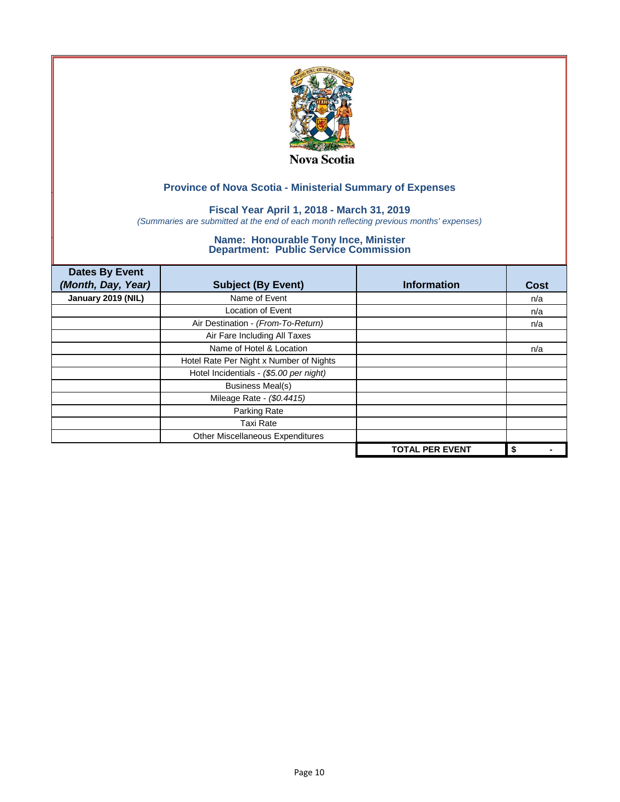

### **Fiscal Year April 1, 2018 - March 31, 2019**

*(Summaries are submitted at the end of each month reflecting previous months' expenses)*

| <b>Dates By Event</b> |                                         |                        |             |
|-----------------------|-----------------------------------------|------------------------|-------------|
| (Month, Day, Year)    | <b>Subject (By Event)</b>               | <b>Information</b>     | <b>Cost</b> |
| January 2019 (NIL)    | Name of Event                           |                        | n/a         |
|                       | <b>Location of Event</b>                |                        | n/a         |
|                       | Air Destination - (From-To-Return)      |                        | n/a         |
|                       | Air Fare Including All Taxes            |                        |             |
|                       | Name of Hotel & Location                |                        | n/a         |
|                       | Hotel Rate Per Night x Number of Nights |                        |             |
|                       | Hotel Incidentials - (\$5.00 per night) |                        |             |
|                       | <b>Business Meal(s)</b>                 |                        |             |
|                       | Mileage Rate - (\$0.4415)               |                        |             |
|                       | Parking Rate                            |                        |             |
|                       | <b>Taxi Rate</b>                        |                        |             |
|                       | Other Miscellaneous Expenditures        |                        |             |
|                       |                                         | <b>TOTAL PER EVENT</b> | \$          |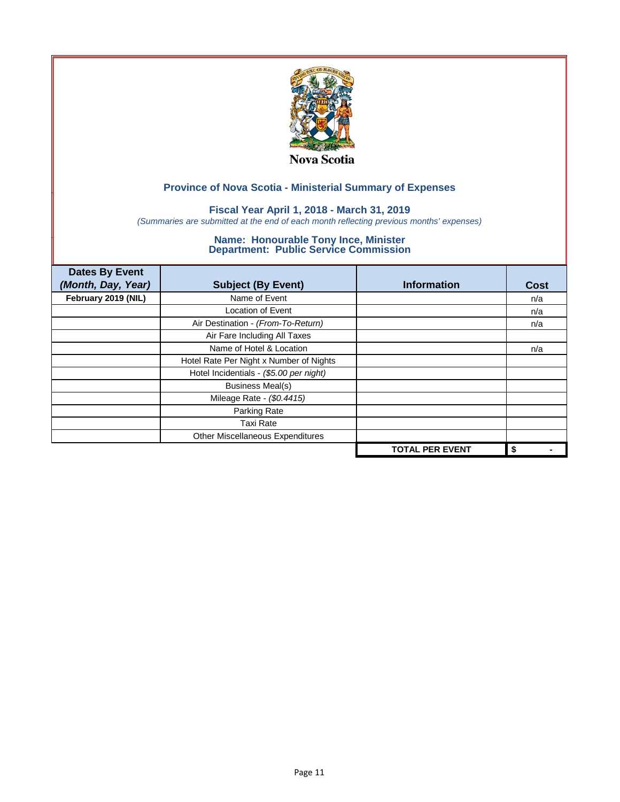

### **Fiscal Year April 1, 2018 - March 31, 2019**

*(Summaries are submitted at the end of each month reflecting previous months' expenses)*

| <b>Dates By Event</b> |                                         |                        |             |
|-----------------------|-----------------------------------------|------------------------|-------------|
| (Month, Day, Year)    | <b>Subject (By Event)</b>               | <b>Information</b>     | <b>Cost</b> |
| February 2019 (NIL)   | Name of Event                           |                        | n/a         |
|                       | <b>Location of Event</b>                |                        | n/a         |
|                       | Air Destination - (From-To-Return)      |                        | n/a         |
|                       | Air Fare Including All Taxes            |                        |             |
|                       | Name of Hotel & Location                |                        | n/a         |
|                       | Hotel Rate Per Night x Number of Nights |                        |             |
|                       | Hotel Incidentials - (\$5.00 per night) |                        |             |
|                       | <b>Business Meal(s)</b>                 |                        |             |
|                       | Mileage Rate - (\$0.4415)               |                        |             |
|                       | Parking Rate                            |                        |             |
|                       | Taxi Rate                               |                        |             |
|                       | Other Miscellaneous Expenditures        |                        |             |
|                       |                                         | <b>TOTAL PER EVENT</b> | \$          |